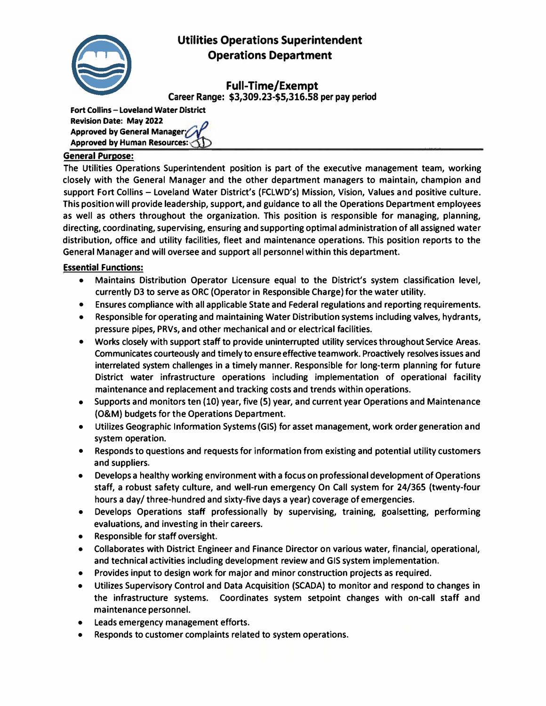

# **Utilities Operations Superintendent Operations Department**

**Full-Time/Exempt** 

**Career Range: \$3,309.23-\$5,316.58 per pay period**

**Fort Collins - Loveland Water District Revision Date: May 2022**  Approved by General Manager **Approved by Human Resources:** 

#### **General Purpose:**

**The Utilities Operations Superintendent position is part of the executive management team, working closely with the General Manager and the other department managers to maintain, champion and support Fort Collins - Loveland Water District's (FCLWD's) Mission, Vision, Values and positive culture. This position will provide leadership, support, and guidance to all the Operations Department employees as well as others throughout the organization. This position is responsible for managing, planning, directing, coordinating, supervising, ensuring and supporting optimal administration of all assigned water distribution, office and utility facilities, fleet and maintenance operations. This position reports to the General Manager and will oversee and support all personnel within this department.** 

### **Essential Functions:**

- **• Maintains Distribution Operator Licensure equal to the District's system classification level, currently D3 to serve as ORC (Operator in Responsible Charge) for the water utility.**
- **• Ensures compliance with all applicable State and Federal regulations and reporting requirements.**
- **• Responsible for operating and maintaining Water Distribution systems including valves, hydrants, pressure pipes, PRVs, and other mechanical and or electrical facilities.**
- **• Works closely with support staff to provide uninterrupted utility services throughout Service Areas. Communicates courteously and timely to ensure effective teamwork. Proactively resolves issues and interrelated system challenges in a timely manner. Responsible for long-term planning for future District water infrastructure operations including implementation of operational facility maintenance and replacement and tracking costs and trends within operations.**
- **• Supports and monitors ten (10) year, five (5) year, and current year Operations and Maintenance (O&M) budgets for the Operations Department.**
- **• Utilizes Geographic Information Systems (GIS) for asset management, work order generation and system operation.**
- **• Responds to questions and requests for information from existing and potential utility customers and suppliers.**
- **• Develops a healthy working environment with a focus on professional development of Operations staff, a robust safety culture, and well-run emergency On Call system for 24/365 (twenty-four hours a day/ three-hundred and sixty-five days a year) coverage of emergencies.**
- **• Develops Operations staff professionally by supervising, training, goalsetting, performing evaluations, and investing in their careers.**
- **• Responsible for staff oversight.**
- **• Collaborates with District Engineer and Finance Director on various water, financial, operational, and technical activities including development review and GIS system implementation.**
- **• Provides input to design work for major and minor construction projects as required.**
- **• Utilizes Supervisory Control and Data Acquisition (SCADA) to monitor and respond to changes in the infrastructure systems. Coordinates system setpoint changes with on-call staff and maintenance personnel.**
- **• Leads emergency management efforts.**
- **• Responds to customer complaints related to system operations.**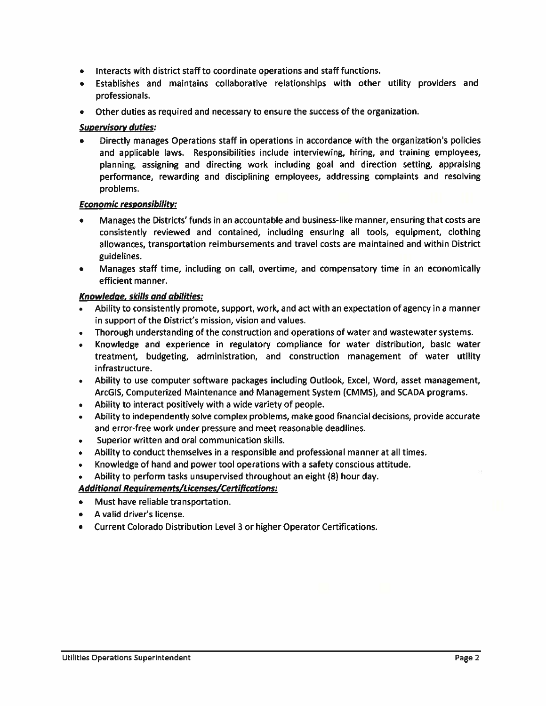- Interacts with district staff to coordinate operations and staff functions.
- Establishes and maintains collaborative relationships with other utility providers and professionals.
- Other duties as required and necessary to ensure the success of the organization.

## **Supervisory duties:**

Directly manages Operations staff in operations in accordance with the organization's policies and applicable laws. Responsibilities include interviewing, hiring, and training employees, planning, assigning and directing work including goal and direction setting, appraising performance, rewarding and disciplining employees, addressing complaints and resolving problems.

### **Economic responsibility:**

- Manages the Districts' funds in an accountable and business-like manner, ensuring that costs are consistently reviewed and contained, including ensuring all tools, equipment, clothing allowances, transportation reimbursements and travel costs are maintained and within District guidelines.
- Manages staff time, including on call, overtime, and compensatory time in an economically  $\bullet$ efficient manner.

# Knowledge, skills and abilities:

- Ability to consistently promote, support, work, and act with an expectation of agency in a manner in support of the District's mission, vision and values.
- Thorough understanding of the construction and operations of water and wastewater systems.
- Knowledge and experience in regulatory compliance for water distribution, basic water  $\bullet$ treatment, budgeting, administration, and construction management of water utility infrastructure.
- Ability to use computer software packages including Outlook, Excel, Word, asset management, ArcGIS, Computerized Maintenance and Management System (CMMS), and SCADA programs.
- Ability to interact positively with a wide variety of people.
- Ability to independently solve complex problems, make good financial decisions, provide accurate and error-free work under pressure and meet reasonable deadlines.
- Superior written and oral communication skills.
- Ability to conduct themselves in a responsible and professional manner at all times.
- Knowledge of hand and power tool operations with a safety conscious attitude.
- Ability to perform tasks unsupervised throughout an eight (8) hour day.

# **Additional Requirements/Licenses/Certifications:**

- Must have reliable transportation.
- A valid driver's license.  $\bullet$
- Current Colorado Distribution Level 3 or higher Operator Certifications.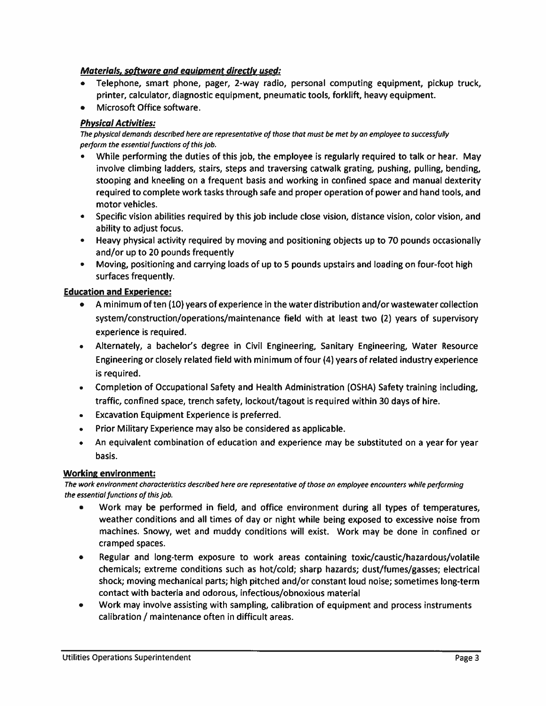## Materials, software and equipment directly used:

- Telephone, smart phone, pager, 2-way radio, personal computing equipment, pickup truck, printer, calculator, diagnostic equipment, pneumatic tools, forklift, heavy equipment.
- Microsoft Office software.

## **Physical Activities:**

The physical demands described here are representative of those that must be met by an employee to successfully perform the essential functions of this job.

- While performing the duties of this job, the employee is regularly required to talk or hear. May involve climbing ladders, stairs, steps and traversing catwalk grating, pushing, pulling, bending, stooping and kneeling on a frequent basis and working in confined space and manual dexterity required to complete work tasks through safe and proper operation of power and hand tools, and motor vehicles.
- Specific vision abilities required by this job include close vision, distance vision, color vision, and ability to adjust focus.
- Heavy physical activity required by moving and positioning objects up to 70 pounds occasionally and/or up to 20 pounds frequently
- Moving, positioning and carrying loads of up to 5 pounds upstairs and loading on four-foot high surfaces frequently.

### **Education and Experience:**

- A minimum of ten (10) years of experience in the water distribution and/or wastewater collection system/construction/operations/maintenance field with at least two (2) years of supervisory experience is required.
- Alternately, a bachelor's degree in Civil Engineering, Sanitary Engineering, Water Resource Engineering or closely related field with minimum of four (4) years of related industry experience is required.
- Completion of Occupational Safety and Health Administration (OSHA) Safety training including, traffic, confined space, trench safety, lockout/tagout is required within 30 days of hire.
- **Excavation Equipment Experience is preferred.**  $\bullet$
- Prior Military Experience may also be considered as applicable.  $\bullet$
- An equivalent combination of education and experience may be substituted on a year for year  $\bullet$ basis.

### **Working environment:**

The work environment characteristics described here are representative of those an employee encounters while performing the essential functions of this job.

- Work may be performed in field, and office environment during all types of temperatures, weather conditions and all times of day or night while being exposed to excessive noise from machines. Snowy, wet and muddy conditions will exist. Work may be done in confined or cramped spaces.
- $\bullet$ Regular and long-term exposure to work areas containing toxic/caustic/hazardous/volatile chemicals; extreme conditions such as hot/cold; sharp hazards; dust/fumes/gasses; electrical shock; moving mechanical parts; high pitched and/or constant loud noise; sometimes long-term contact with bacteria and odorous, infectious/obnoxious material
- Work may involve assisting with sampling, calibration of equipment and process instruments  $\bullet$ calibration / maintenance often in difficult areas.